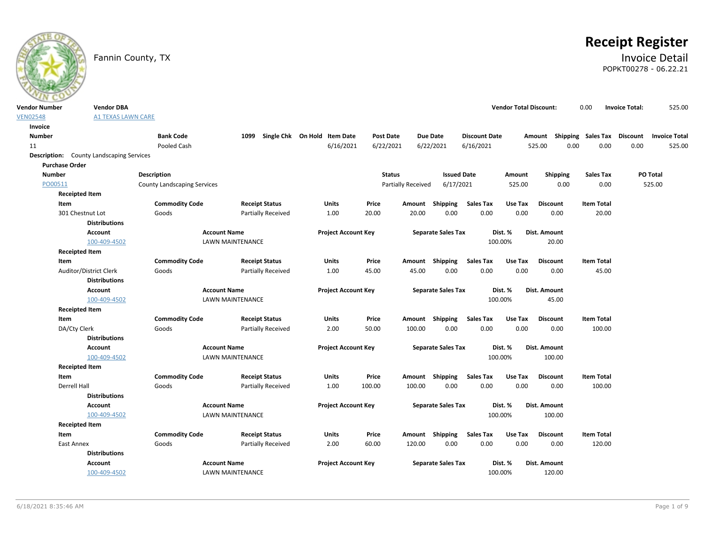

# **Receipt Register**

# Fannin County, TX **Invoice Detail** POPKT00278 - 06.22.21

| <b>Vendor Number</b> | <b>Vendor DBA</b>                               |                             |                           |                              |                  |                           |                           |                      | <b>Vendor Total Discount:</b> |                 | 0.00                        | <b>Invoice Total:</b> | 525.00               |
|----------------------|-------------------------------------------------|-----------------------------|---------------------------|------------------------------|------------------|---------------------------|---------------------------|----------------------|-------------------------------|-----------------|-----------------------------|-----------------------|----------------------|
| <b>VEN02548</b>      | <b>A1 TEXAS LAWN CARE</b>                       |                             |                           |                              |                  |                           |                           |                      |                               |                 |                             |                       |                      |
| Invoice              |                                                 |                             |                           |                              |                  |                           |                           |                      |                               |                 |                             |                       |                      |
| <b>Number</b>        |                                                 | <b>Bank Code</b>            | 1099                      | Single Chk On Hold Item Date | <b>Post Date</b> | <b>Due Date</b>           |                           | <b>Discount Date</b> |                               | Amount          | Shipping Sales Tax Discount |                       | <b>Invoice Total</b> |
| 11                   |                                                 | Pooled Cash                 |                           | 6/16/2021                    | 6/22/2021        |                           | 6/22/2021                 | 6/16/2021            |                               | 0.00<br>525.00  | 0.00                        | 0.00                  | 525.00               |
|                      | <b>Description:</b> County Landscaping Services |                             |                           |                              |                  |                           |                           |                      |                               |                 |                             |                       |                      |
|                      | <b>Purchase Order</b>                           |                             |                           |                              |                  |                           |                           |                      |                               |                 |                             |                       |                      |
| <b>Number</b>        |                                                 | Description                 |                           |                              | <b>Status</b>    |                           | <b>Issued Date</b>        |                      | Amount                        | Shipping        | <b>Sales Tax</b>            |                       | PO Total             |
| PO00511              |                                                 | County Landscaping Services |                           |                              |                  | <b>Partially Received</b> | 6/17/2021                 |                      | 525.00                        | 0.00            | 0.00                        |                       | 525.00               |
|                      | <b>Receipted Item</b>                           |                             |                           |                              |                  |                           |                           |                      |                               |                 |                             |                       |                      |
|                      | Item                                            | <b>Commodity Code</b>       | <b>Receipt Status</b>     | <b>Units</b>                 | Price            | Amount Shipping           |                           | <b>Sales Tax</b>     | Use Tax                       | <b>Discount</b> | <b>Item Total</b>           |                       |                      |
|                      | 301 Chestnut Lot                                | Goods                       | Partially Received        | 1.00                         | 20.00            | 20.00                     | 0.00                      | 0.00                 | 0.00                          | 0.00            | 20.00                       |                       |                      |
|                      | <b>Distributions</b>                            |                             |                           |                              |                  |                           |                           |                      |                               |                 |                             |                       |                      |
|                      | <b>Account</b>                                  |                             | <b>Account Name</b>       | <b>Project Account Key</b>   |                  |                           | <b>Separate Sales Tax</b> |                      | Dist. %                       | Dist. Amount    |                             |                       |                      |
|                      | 100-409-4502                                    |                             | <b>LAWN MAINTENANCE</b>   |                              |                  |                           |                           |                      | 100.00%                       | 20.00           |                             |                       |                      |
|                      | <b>Receipted Item</b>                           |                             |                           |                              |                  |                           |                           |                      |                               |                 |                             |                       |                      |
|                      | Item                                            | <b>Commodity Code</b>       | <b>Receipt Status</b>     | Units                        | Price            | Amount Shipping           |                           | <b>Sales Tax</b>     | Use Tax                       | <b>Discount</b> | <b>Item Total</b>           |                       |                      |
|                      | Auditor/District Clerk                          | Goods                       | <b>Partially Received</b> | 1.00                         | 45.00            | 45.00                     | 0.00                      | 0.00                 | 0.00                          | 0.00            | 45.00                       |                       |                      |
|                      | <b>Distributions</b>                            |                             |                           |                              |                  |                           |                           |                      |                               |                 |                             |                       |                      |
|                      | <b>Account</b>                                  |                             | <b>Account Name</b>       | <b>Project Account Key</b>   |                  |                           | <b>Separate Sales Tax</b> |                      | Dist. %                       | Dist. Amount    |                             |                       |                      |
|                      | 100-409-4502                                    |                             | LAWN MAINTENANCE          |                              |                  |                           |                           |                      | 100.00%                       | 45.00           |                             |                       |                      |
|                      | <b>Receipted Item</b>                           |                             |                           |                              |                  |                           |                           |                      |                               |                 |                             |                       |                      |
|                      | Item                                            | <b>Commodity Code</b>       | <b>Receipt Status</b>     | Units                        | Price            | Amount Shipping           |                           | Sales Tax            | Use Tax                       | <b>Discount</b> | <b>Item Total</b>           |                       |                      |
|                      | DA/Cty Clerk                                    | Goods                       | <b>Partially Received</b> | 2.00                         | 50.00            | 100.00                    | 0.00                      | 0.00                 | 0.00                          | 0.00            | 100.00                      |                       |                      |
|                      | <b>Distributions</b>                            |                             |                           |                              |                  |                           |                           |                      |                               |                 |                             |                       |                      |
|                      | <b>Account</b>                                  |                             | <b>Account Name</b>       | <b>Project Account Key</b>   |                  |                           | <b>Separate Sales Tax</b> |                      | Dist. %                       | Dist. Amount    |                             |                       |                      |
|                      | 100-409-4502                                    |                             | <b>LAWN MAINTENANCE</b>   |                              |                  |                           |                           |                      | 100.00%                       | 100.00          |                             |                       |                      |
|                      | <b>Receipted Item</b>                           |                             |                           |                              |                  |                           |                           |                      |                               |                 |                             |                       |                      |
|                      | Item                                            | <b>Commodity Code</b>       | <b>Receipt Status</b>     | Units                        | Price            | Amount Shipping           |                           | <b>Sales Tax</b>     | Use Tax                       | <b>Discount</b> | <b>Item Total</b>           |                       |                      |
|                      | Derrell Hall                                    | Goods                       | Partially Received        | 1.00                         | 100.00           | 100.00                    | 0.00                      | 0.00                 | 0.00                          | 0.00            | 100.00                      |                       |                      |
|                      | <b>Distributions</b>                            |                             |                           |                              |                  |                           |                           |                      |                               |                 |                             |                       |                      |
|                      | <b>Account</b>                                  |                             | <b>Account Name</b>       | <b>Project Account Key</b>   |                  |                           | <b>Separate Sales Tax</b> |                      | Dist. %                       | Dist. Amount    |                             |                       |                      |
|                      | 100-409-4502                                    |                             | LAWN MAINTENANCE          |                              |                  |                           |                           |                      | 100.00%                       | 100.00          |                             |                       |                      |
|                      | <b>Receipted Item</b>                           |                             |                           |                              |                  |                           |                           |                      |                               |                 |                             |                       |                      |
|                      | Item                                            | <b>Commodity Code</b>       | <b>Receipt Status</b>     | Units                        | Price            | Amount Shipping           |                           | <b>Sales Tax</b>     | Use Tax                       | <b>Discount</b> | <b>Item Total</b>           |                       |                      |
|                      | East Annex                                      | Goods                       | <b>Partially Received</b> | 2.00                         | 60.00            | 120.00                    | 0.00                      | 0.00                 | 0.00                          | 0.00            | 120.00                      |                       |                      |
|                      | <b>Distributions</b>                            |                             |                           |                              |                  |                           |                           |                      |                               |                 |                             |                       |                      |
|                      | <b>Account</b>                                  |                             | <b>Account Name</b>       | <b>Project Account Key</b>   |                  |                           | <b>Separate Sales Tax</b> |                      | Dist. %                       | Dist. Amount    |                             |                       |                      |
|                      | 100-409-4502                                    |                             | <b>LAWN MAINTENANCE</b>   |                              |                  |                           |                           |                      | 100.00%                       | 120.00          |                             |                       |                      |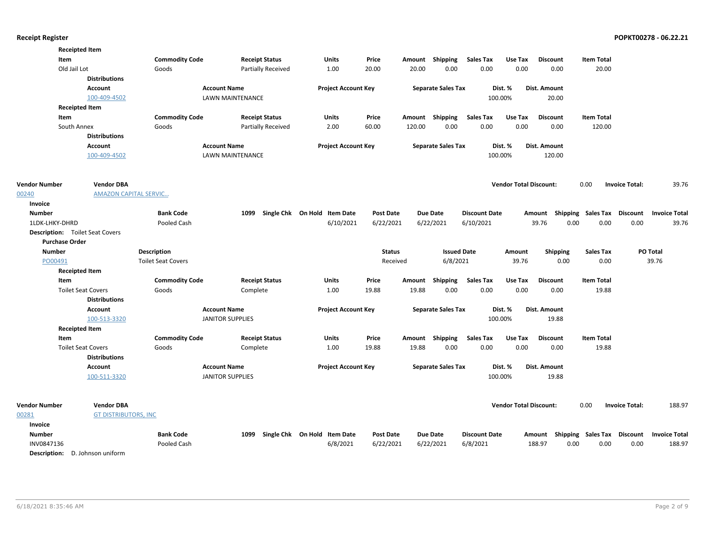|                       | <b>Receipted Item</b>                  |                           |                         |                                   |                  |        |                           |                      |                               |                     |                                    |                       |                      |
|-----------------------|----------------------------------------|---------------------------|-------------------------|-----------------------------------|------------------|--------|---------------------------|----------------------|-------------------------------|---------------------|------------------------------------|-----------------------|----------------------|
| Item                  |                                        | <b>Commodity Code</b>     | <b>Receipt Status</b>   | Units                             | Price            |        | Amount Shipping           | <b>Sales Tax</b>     | Use Tax                       | <b>Discount</b>     | <b>Item Total</b>                  |                       |                      |
|                       | Old Jail Lot                           | Goods                     | Partially Received      | 1.00                              | 20.00            | 20.00  | 0.00                      | 0.00                 | 0.00                          | 0.00                | 20.00                              |                       |                      |
|                       | <b>Distributions</b>                   |                           |                         |                                   |                  |        |                           |                      |                               |                     |                                    |                       |                      |
|                       | Account                                |                           | <b>Account Name</b>     | <b>Project Account Key</b>        |                  |        | <b>Separate Sales Tax</b> |                      | Dist. %                       | Dist. Amount        |                                    |                       |                      |
|                       | 100-409-4502                           |                           | LAWN MAINTENANCE        |                                   |                  |        |                           |                      | 100.00%                       | 20.00               |                                    |                       |                      |
|                       | <b>Receipted Item</b>                  |                           |                         |                                   |                  |        |                           |                      |                               |                     |                                    |                       |                      |
| Item                  |                                        | <b>Commodity Code</b>     | <b>Receipt Status</b>   | Units                             | Price            |        | Amount Shipping           | <b>Sales Tax</b>     | Use Tax                       | <b>Discount</b>     | <b>Item Total</b>                  |                       |                      |
|                       | South Annex                            | Goods                     | Partially Received      | 2.00                              | 60.00            | 120.00 | 0.00                      | 0.00                 | 0.00                          | 0.00                | 120.00                             |                       |                      |
|                       | <b>Distributions</b>                   |                           |                         |                                   |                  |        |                           |                      |                               |                     |                                    |                       |                      |
|                       | <b>Account</b>                         |                           | <b>Account Name</b>     | <b>Project Account Key</b>        |                  |        | <b>Separate Sales Tax</b> |                      | Dist. %                       | <b>Dist. Amount</b> |                                    |                       |                      |
|                       | 100-409-4502                           |                           | <b>LAWN MAINTENANCE</b> |                                   |                  |        |                           |                      | 100.00%                       | 120.00              |                                    |                       |                      |
| <b>Vendor Number</b>  | <b>Vendor DBA</b>                      |                           |                         |                                   |                  |        |                           |                      | <b>Vendor Total Discount:</b> |                     | 0.00                               | <b>Invoice Total:</b> | 39.76                |
| 00240                 | <b>AMAZON CAPITAL SERVIC</b>           |                           |                         |                                   |                  |        |                           |                      |                               |                     |                                    |                       |                      |
| Invoice               |                                        |                           |                         |                                   |                  |        |                           |                      |                               |                     |                                    |                       |                      |
| <b>Number</b>         |                                        | <b>Bank Code</b>          |                         | 1099 Single Chk On Hold Item Date | <b>Post Date</b> |        | <b>Due Date</b>           | <b>Discount Date</b> |                               |                     | Amount Shipping Sales Tax Discount |                       | <b>Invoice Total</b> |
| 1LDK-LHKY-DHRD        |                                        | Pooled Cash               |                         | 6/10/2021                         | 6/22/2021        |        | 6/22/2021                 | 6/10/2021            |                               | 39.76               | 0.00<br>0.00                       | 0.00                  | 39.76                |
|                       | <b>Description:</b> Toilet Seat Covers |                           |                         |                                   |                  |        |                           |                      |                               |                     |                                    |                       |                      |
| <b>Purchase Order</b> |                                        |                           |                         |                                   |                  |        |                           |                      |                               |                     |                                    |                       |                      |
| <b>Number</b>         |                                        | <b>Description</b>        |                         |                                   | <b>Status</b>    |        | <b>Issued Date</b>        |                      | Amount                        | <b>Shipping</b>     | Sales Tax                          |                       | PO Total             |
| PO00491               |                                        | <b>Toilet Seat Covers</b> |                         |                                   | Received         |        | 6/8/2021                  |                      | 39.76                         | 0.00                | 0.00                               |                       | 39.76                |
|                       | <b>Receipted Item</b>                  |                           |                         |                                   |                  |        |                           |                      |                               |                     |                                    |                       |                      |
| Item                  |                                        | <b>Commodity Code</b>     | <b>Receipt Status</b>   | Units                             | Price            | Amount | Shipping                  | <b>Sales Tax</b>     | Use Tax                       | <b>Discount</b>     | <b>Item Total</b>                  |                       |                      |
|                       | <b>Toilet Seat Covers</b>              | Goods                     | Complete                | 1.00                              | 19.88            | 19.88  | 0.00                      | 0.00                 | 0.00                          | 0.00                | 19.88                              |                       |                      |
|                       | <b>Distributions</b>                   |                           |                         |                                   |                  |        |                           |                      |                               |                     |                                    |                       |                      |
|                       | <b>Account</b>                         |                           | <b>Account Name</b>     | <b>Project Account Key</b>        |                  |        | <b>Separate Sales Tax</b> |                      | Dist. %                       | <b>Dist. Amount</b> |                                    |                       |                      |
|                       | 100-513-3320                           |                           | <b>JANITOR SUPPLIES</b> |                                   |                  |        |                           |                      | 100.00%                       | 19.88               |                                    |                       |                      |
|                       | <b>Receipted Item</b>                  |                           |                         |                                   |                  |        |                           |                      |                               |                     |                                    |                       |                      |
| Item                  |                                        | <b>Commodity Code</b>     | <b>Receipt Status</b>   | Units                             | Price            |        | Amount Shipping           | <b>Sales Tax</b>     | Use Tax                       | <b>Discount</b>     | <b>Item Total</b>                  |                       |                      |
|                       | <b>Toilet Seat Covers</b>              | Goods                     | Complete                | 1.00                              | 19.88            | 19.88  | 0.00                      | 0.00                 | 0.00                          | 0.00                | 19.88                              |                       |                      |
|                       | <b>Distributions</b>                   |                           |                         |                                   |                  |        |                           |                      |                               |                     |                                    |                       |                      |
|                       | Account                                |                           | <b>Account Name</b>     | <b>Project Account Key</b>        |                  |        | <b>Separate Sales Tax</b> |                      | Dist. %                       | <b>Dist. Amount</b> |                                    |                       |                      |
|                       | 100-511-3320                           |                           | <b>JANITOR SUPPLIES</b> |                                   |                  |        |                           |                      | 100.00%                       | 19.88               |                                    |                       |                      |
|                       |                                        |                           |                         |                                   |                  |        |                           |                      |                               |                     |                                    |                       |                      |
| <b>Vendor Number</b>  | <b>Vendor DBA</b>                      |                           |                         |                                   |                  |        |                           |                      | <b>Vendor Total Discount:</b> |                     | 0.00                               | <b>Invoice Total:</b> | 188.97               |
| 00281                 | <b>GT DISTRIBUTORS, INC</b>            |                           |                         |                                   |                  |        |                           |                      |                               |                     |                                    |                       |                      |
| Invoice               |                                        |                           |                         |                                   |                  |        |                           |                      |                               |                     |                                    |                       |                      |
| <b>Number</b>         |                                        | <b>Bank Code</b>          | 1099                    | Single Chk On Hold Item Date      | <b>Post Date</b> |        | <b>Due Date</b>           | <b>Discount Date</b> |                               |                     | Amount Shipping Sales Tax Discount |                       | <b>Invoice Total</b> |
| INV0847136            |                                        | Pooled Cash               |                         | 6/8/2021                          | 6/22/2021        |        | 6/22/2021                 | 6/8/2021             |                               | 188.97<br>0.00      | 0.00                               | 0.00                  | 188.97               |
|                       | $   -$<br>$\sim$                       |                           |                         |                                   |                  |        |                           |                      |                               |                     |                                    |                       |                      |

Description: D. Johnson uniform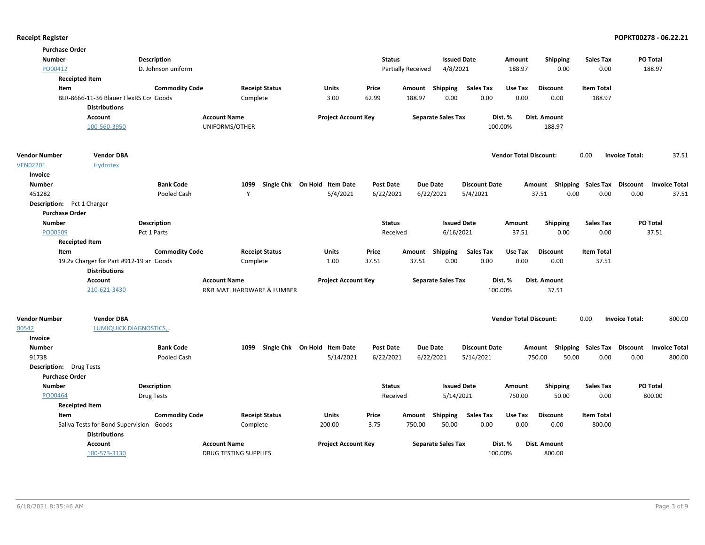| <b>Purchase Order</b>          |                                                                 |                       |                            |                              |                  |                           |                      |                               |                           |                             |                                  |
|--------------------------------|-----------------------------------------------------------------|-----------------------|----------------------------|------------------------------|------------------|---------------------------|----------------------|-------------------------------|---------------------------|-----------------------------|----------------------------------|
| <b>Number</b>                  |                                                                 | <b>Description</b>    |                            |                              | <b>Status</b>    |                           | <b>Issued Date</b>   | Amount                        | <b>Shipping</b>           | <b>Sales Tax</b>            | PO Total                         |
| PO00412                        |                                                                 | D. Johnson uniform    |                            |                              |                  | Partially Received        | 4/8/2021             | 188.97                        | 0.00                      | 0.00                        | 188.97                           |
|                                | <b>Receipted Item</b>                                           |                       |                            |                              |                  |                           |                      |                               |                           |                             |                                  |
| Item                           |                                                                 | <b>Commodity Code</b> | <b>Receipt Status</b>      | <b>Units</b>                 | Price            | Amount Shipping           | <b>Sales Tax</b>     | Use Tax                       | <b>Discount</b>           | <b>Item Total</b>           |                                  |
|                                | BLR-8666-11-36 Blauer FlexRS Cov Goods<br><b>Distributions</b>  |                       | Complete                   | 3.00                         | 62.99            | 188.97<br>0.00            | 0.00                 | 0.00                          | 0.00                      | 188.97                      |                                  |
|                                | <b>Account</b>                                                  |                       | <b>Account Name</b>        | <b>Project Account Key</b>   |                  | <b>Separate Sales Tax</b> |                      | Dist. %                       | Dist. Amount              |                             |                                  |
|                                | 100-560-3950                                                    |                       | UNIFORMS/OTHER             |                              |                  |                           | 100.00%              |                               | 188.97                    |                             |                                  |
| <b>Vendor Number</b>           | <b>Vendor DBA</b>                                               |                       |                            |                              |                  |                           |                      | <b>Vendor Total Discount:</b> |                           | 0.00                        | 37.51<br><b>Invoice Total:</b>   |
| <b>VEN02201</b>                | Hydrotex                                                        |                       |                            |                              |                  |                           |                      |                               |                           |                             |                                  |
| Invoice                        |                                                                 |                       |                            |                              |                  |                           |                      |                               |                           |                             |                                  |
| <b>Number</b>                  |                                                                 | <b>Bank Code</b>      | 1099                       | Single Chk On Hold Item Date | <b>Post Date</b> | <b>Due Date</b>           | <b>Discount Date</b> |                               | Amount Shipping Sales Tax |                             | Discount<br><b>Invoice Total</b> |
| 451282                         |                                                                 | Pooled Cash           | Y                          | 5/4/2021                     | 6/22/2021        | 6/22/2021                 | 5/4/2021             | 37.51                         | 0.00                      | 0.00                        | 0.00<br>37.51                    |
| Description: Pct 1 Charger     |                                                                 |                       |                            |                              |                  |                           |                      |                               |                           |                             |                                  |
| <b>Purchase Order</b>          |                                                                 |                       |                            |                              |                  |                           |                      |                               |                           |                             |                                  |
| <b>Number</b>                  |                                                                 | Description           |                            |                              | <b>Status</b>    |                           | <b>Issued Date</b>   | Amount                        | <b>Shipping</b>           | <b>Sales Tax</b>            | PO Total                         |
| PO00509                        |                                                                 | Pct 1 Parts           |                            |                              | Received         |                           | 6/16/2021            | 37.51                         | 0.00                      | 0.00                        | 37.51                            |
|                                | <b>Receipted Item</b>                                           |                       |                            |                              |                  |                           |                      |                               |                           |                             |                                  |
| Item                           |                                                                 | <b>Commodity Code</b> | <b>Receipt Status</b>      | <b>Units</b>                 | Price            | Amount Shipping           | Sales Tax            | Use Tax                       | <b>Discount</b>           | <b>Item Total</b>           |                                  |
|                                | 19.2v Charger for Part #912-19 an Goods<br><b>Distributions</b> |                       | Complete                   | 1.00                         | 37.51            | 37.51<br>0.00             | 0.00                 | 0.00                          | 0.00                      | 37.51                       |                                  |
|                                | <b>Account</b>                                                  |                       | <b>Account Name</b>        | <b>Project Account Key</b>   |                  | <b>Separate Sales Tax</b> |                      | Dist. %                       | Dist. Amount              |                             |                                  |
|                                | 210-621-3430                                                    |                       | R&B MAT. HARDWARE & LUMBER |                              |                  |                           | 100.00%              |                               | 37.51                     |                             |                                  |
| <b>Vendor Number</b>           | <b>Vendor DBA</b>                                               |                       |                            |                              |                  |                           |                      | <b>Vendor Total Discount:</b> |                           | 0.00                        | 800.00<br><b>Invoice Total:</b>  |
| 00542                          | <b>LUMIQUICK DIAGNOSTICS,.</b>                                  |                       |                            |                              |                  |                           |                      |                               |                           |                             |                                  |
| Invoice                        |                                                                 |                       |                            |                              |                  |                           |                      |                               |                           |                             |                                  |
| <b>Number</b>                  |                                                                 | <b>Bank Code</b>      | 1099                       | Single Chk On Hold Item Date | Post Date        | <b>Due Date</b>           | <b>Discount Date</b> | Amount                        |                           | Shipping Sales Tax Discount | <b>Invoice Total</b>             |
| 91738                          |                                                                 | Pooled Cash           |                            | 5/14/2021                    | 6/22/2021        | 6/22/2021                 | 5/14/2021            | 750.00                        | 50.00                     | 0.00                        | 0.00<br>800.00                   |
| <b>Description:</b> Drug Tests |                                                                 |                       |                            |                              |                  |                           |                      |                               |                           |                             |                                  |
| <b>Purchase Order</b>          |                                                                 |                       |                            |                              |                  |                           |                      |                               |                           |                             |                                  |
| <b>Number</b>                  |                                                                 | Description           |                            |                              | <b>Status</b>    |                           | <b>Issued Date</b>   | Amount                        | <b>Shipping</b>           | <b>Sales Tax</b>            | PO Total                         |
| PO00464                        |                                                                 | <b>Drug Tests</b>     |                            |                              | Received         |                           | 5/14/2021            | 750.00                        | 50.00                     | 0.00                        | 800.00                           |
|                                | <b>Receipted Item</b>                                           |                       |                            |                              |                  |                           |                      |                               |                           |                             |                                  |
| Item                           |                                                                 | <b>Commodity Code</b> | <b>Receipt Status</b>      | Units                        | Price            | Amount<br>Shipping        | Sales Tax            | Use Tax                       | <b>Discount</b>           | <b>Item Total</b>           |                                  |
|                                | Saliva Tests for Bond Supervision Goods                         |                       | Complete                   | 200.00                       | 3.75             | 750.00<br>50.00           | 0.00                 | 0.00                          | 0.00                      | 800.00                      |                                  |
|                                | <b>Distributions</b>                                            |                       |                            |                              |                  |                           |                      |                               |                           |                             |                                  |
|                                | <b>Account</b>                                                  |                       | <b>Account Name</b>        | <b>Project Account Key</b>   |                  | <b>Separate Sales Tax</b> |                      | Dist. %                       | Dist. Amount              |                             |                                  |
|                                | 100-573-3130                                                    |                       | DRUG TESTING SUPPLIES      |                              |                  |                           | 100.00%              |                               | 800.00                    |                             |                                  |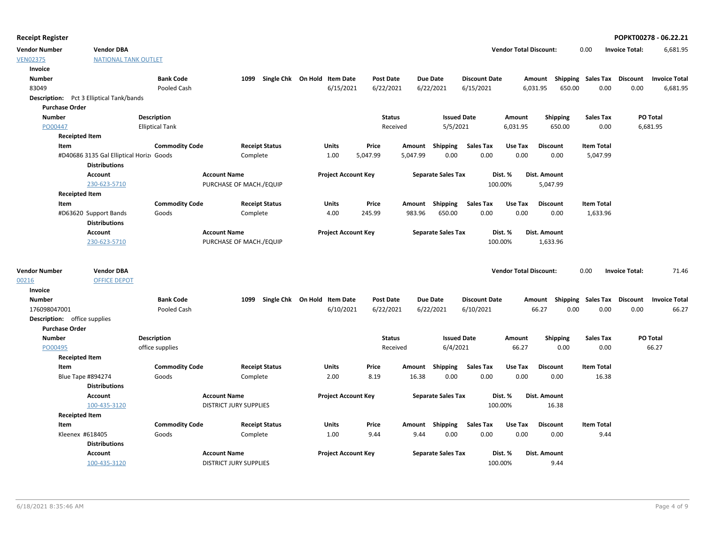|  | <b>Receipt Register</b> |  |
|--|-------------------------|--|
|--|-------------------------|--|

**Vendor Number Vendor Total Discount:** 6,681.95 **Vendor DBA** 0.00 **Invoice Total:**

| ---------------- | ------------                |
|------------------|-----------------------------|
| <b>VEN02375</b>  | <b>NATIONAL TANK OUTLET</b> |

| Invoice                      |                                                 |                        |                               |                       |                              |          |                  |                           |                      |                               |                    |                           |                       |                      |
|------------------------------|-------------------------------------------------|------------------------|-------------------------------|-----------------------|------------------------------|----------|------------------|---------------------------|----------------------|-------------------------------|--------------------|---------------------------|-----------------------|----------------------|
| <b>Number</b>                |                                                 | <b>Bank Code</b>       | 1099                          |                       | Single Chk On Hold Item Date |          | <b>Post Date</b> | <b>Due Date</b>           | <b>Discount Date</b> |                               | Amount             | Shipping Sales Tax        | Discount              | <b>Invoice Total</b> |
| 83049                        |                                                 | Pooled Cash            |                               |                       | 6/15/2021                    |          | 6/22/2021        | 6/22/2021                 | 6/15/2021            |                               | 6,031.95<br>650.00 | 0.00                      | 0.00                  | 6,681.95             |
|                              | <b>Description:</b> Pct 3 Elliptical Tank/bands |                        |                               |                       |                              |          |                  |                           |                      |                               |                    |                           |                       |                      |
| <b>Purchase Order</b>        |                                                 |                        |                               |                       |                              |          |                  |                           |                      |                               |                    |                           |                       |                      |
| <b>Number</b>                |                                                 | Description            |                               |                       |                              |          | <b>Status</b>    | <b>Issued Date</b>        |                      | Amount                        | <b>Shipping</b>    | <b>Sales Tax</b>          |                       | PO Total             |
| PO00447                      |                                                 | <b>Elliptical Tank</b> |                               |                       |                              |          | Received         | 5/5/2021                  |                      | 6,031.95                      | 650.00             | 0.00                      |                       | 6,681.95             |
| <b>Receipted Item</b>        |                                                 |                        |                               |                       |                              |          |                  |                           |                      |                               |                    |                           |                       |                      |
| Item                         |                                                 | <b>Commodity Code</b>  |                               | <b>Receipt Status</b> | Units                        | Price    |                  | Amount Shipping           | Sales Tax            | Use Tax                       | <b>Discount</b>    | <b>Item Total</b>         |                       |                      |
|                              | #D40686 3135 Gal Elliptical Horiz Goods         |                        | Complete                      |                       | 1.00                         | 5,047.99 | 5,047.99         | 0.00                      | 0.00                 | 0.00                          | 0.00               | 5,047.99                  |                       |                      |
|                              | <b>Distributions</b>                            |                        |                               |                       |                              |          |                  |                           |                      |                               |                    |                           |                       |                      |
|                              | <b>Account</b>                                  |                        | <b>Account Name</b>           |                       | <b>Project Account Key</b>   |          |                  | <b>Separate Sales Tax</b> |                      | Dist. %                       | Dist. Amount       |                           |                       |                      |
|                              | 230-623-5710                                    |                        | PURCHASE OF MACH./EQUIP       |                       |                              |          |                  |                           |                      | 100.00%                       | 5,047.99           |                           |                       |                      |
| <b>Receipted Item</b>        |                                                 |                        |                               |                       |                              |          |                  |                           |                      |                               |                    |                           |                       |                      |
| Item                         |                                                 | <b>Commodity Code</b>  |                               | <b>Receipt Status</b> | <b>Units</b>                 | Price    | Amount           | Shipping                  | <b>Sales Tax</b>     | Use Tax                       | <b>Discount</b>    | <b>Item Total</b>         |                       |                      |
|                              | #D63620 Support Bands                           | Goods                  | Complete                      |                       | 4.00                         | 245.99   | 983.96           | 650.00                    | 0.00                 | 0.00                          | 0.00               | 1,633.96                  |                       |                      |
|                              | <b>Distributions</b>                            |                        |                               |                       |                              |          |                  |                           |                      |                               |                    |                           |                       |                      |
|                              | <b>Account</b>                                  |                        | <b>Account Name</b>           |                       | <b>Project Account Key</b>   |          |                  | <b>Separate Sales Tax</b> |                      | Dist. %                       | Dist. Amount       |                           |                       |                      |
|                              | 230-623-5710                                    |                        | PURCHASE OF MACH./EQUIP       |                       |                              |          |                  |                           |                      | 100.00%                       | 1,633.96           |                           |                       |                      |
|                              |                                                 |                        |                               |                       |                              |          |                  |                           |                      |                               |                    |                           |                       |                      |
| <b>Vendor Number</b>         | <b>Vendor DBA</b>                               |                        |                               |                       |                              |          |                  |                           |                      | <b>Vendor Total Discount:</b> |                    | 0.00                      | <b>Invoice Total:</b> | 71.46                |
| 00216                        | <b>OFFICE DEPOT</b>                             |                        |                               |                       |                              |          |                  |                           |                      |                               |                    |                           |                       |                      |
| Invoice                      |                                                 |                        |                               |                       |                              |          |                  |                           |                      |                               |                    |                           |                       |                      |
| <b>Number</b>                |                                                 | <b>Bank Code</b>       | 1099                          |                       | Single Chk On Hold Item Date |          | <b>Post Date</b> | <b>Due Date</b>           | <b>Discount Date</b> |                               |                    | Amount Shipping Sales Tax | <b>Discount</b>       | <b>Invoice Total</b> |
| 176098047001                 |                                                 | Pooled Cash            |                               |                       | 6/10/2021                    |          | 6/22/2021        | 6/22/2021                 | 6/10/2021            |                               | 66.27              | 0.00<br>0.00              | 0.00                  | 66.27                |
| Description: office supplies |                                                 |                        |                               |                       |                              |          |                  |                           |                      |                               |                    |                           |                       |                      |
| <b>Purchase Order</b>        |                                                 |                        |                               |                       |                              |          |                  |                           |                      |                               |                    |                           |                       |                      |
| <b>Number</b>                |                                                 | <b>Description</b>     |                               |                       |                              |          | <b>Status</b>    | <b>Issued Date</b>        |                      | Amount                        | <b>Shipping</b>    | <b>Sales Tax</b>          |                       | PO Total             |
| PO00495                      |                                                 | office supplies        |                               |                       |                              |          | Received         | 6/4/2021                  |                      | 66.27                         | 0.00               | 0.00                      |                       | 66.27                |
| <b>Receipted Item</b>        |                                                 |                        |                               |                       |                              |          |                  |                           |                      |                               |                    |                           |                       |                      |
| Item                         |                                                 | <b>Commodity Code</b>  |                               | <b>Receipt Status</b> | <b>Units</b>                 | Price    | Amount           | Shipping                  | <b>Sales Tax</b>     | Use Tax                       | <b>Discount</b>    | <b>Item Total</b>         |                       |                      |
|                              | <b>Blue Tape #894274</b>                        | Goods                  | Complete                      |                       | 2.00                         | 8.19     | 16.38            | 0.00                      | 0.00                 | 0.00                          | 0.00               | 16.38                     |                       |                      |
|                              | <b>Distributions</b>                            |                        |                               |                       |                              |          |                  |                           |                      |                               |                    |                           |                       |                      |
|                              | <b>Account</b>                                  |                        | <b>Account Name</b>           |                       | <b>Project Account Key</b>   |          |                  | <b>Separate Sales Tax</b> |                      | Dist. %                       | Dist. Amount       |                           |                       |                      |
|                              | 100-435-3120                                    |                        | <b>DISTRICT JURY SUPPLIES</b> |                       |                              |          |                  |                           |                      | 100.00%                       | 16.38              |                           |                       |                      |
| <b>Receipted Item</b>        |                                                 |                        |                               |                       |                              |          |                  |                           |                      |                               |                    |                           |                       |                      |
| Item                         |                                                 | <b>Commodity Code</b>  |                               | <b>Receipt Status</b> | Units                        | Price    |                  | Amount Shipping           | <b>Sales Tax</b>     | Use Tax                       | <b>Discount</b>    | <b>Item Total</b>         |                       |                      |
|                              | Kleenex #618405                                 | Goods                  | Complete                      |                       | 1.00                         | 9.44     | 9.44             | 0.00                      | 0.00                 | 0.00                          | 0.00               | 9.44                      |                       |                      |
|                              | <b>Distributions</b>                            |                        |                               |                       |                              |          |                  |                           |                      |                               |                    |                           |                       |                      |
|                              | <b>Account</b>                                  |                        | <b>Account Name</b>           |                       | <b>Project Account Key</b>   |          |                  | <b>Separate Sales Tax</b> |                      | Dist. %                       | Dist. Amount       |                           |                       |                      |
|                              | 100-435-3120                                    |                        | <b>DISTRICT JURY SUPPLIES</b> |                       |                              |          |                  |                           | 100.00%              |                               | 9.44               |                           |                       |                      |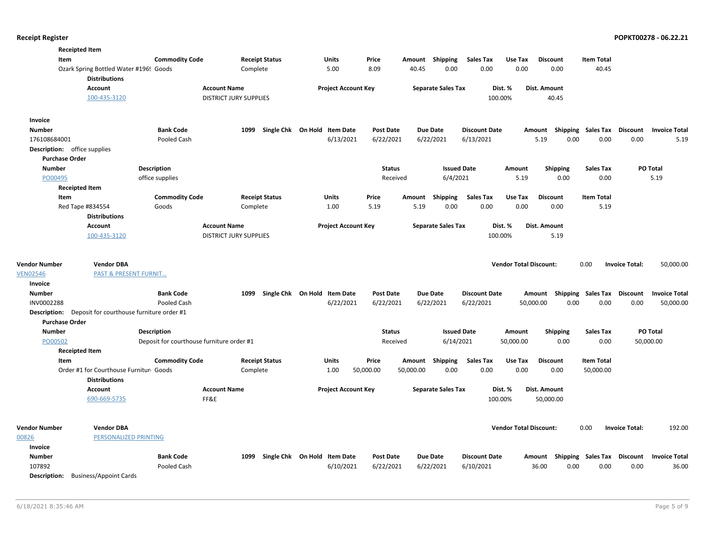| <b>Receipted Item</b>                              |                                                                |                                           |                               |          |                              |                            |                  |           |                           |                      |                               |                 |                 |                           |                                    |                      |
|----------------------------------------------------|----------------------------------------------------------------|-------------------------------------------|-------------------------------|----------|------------------------------|----------------------------|------------------|-----------|---------------------------|----------------------|-------------------------------|-----------------|-----------------|---------------------------|------------------------------------|----------------------|
| Item                                               |                                                                | <b>Commodity Code</b>                     |                               |          | <b>Receipt Status</b>        | <b>Units</b>               | Price            |           | Amount Shipping           | <b>Sales Tax</b>     | Use Tax                       | <b>Discount</b> |                 | <b>Item Total</b>         |                                    |                      |
|                                                    | Ozark Spring Bottled Water #196! Goods<br><b>Distributions</b> |                                           |                               | Complete |                              | 5.00                       | 8.09             | 40.45     | 0.00                      | 0.00                 | 0.00                          |                 | 0.00            | 40.45                     |                                    |                      |
|                                                    | <b>Account</b>                                                 |                                           | <b>Account Name</b>           |          |                              | <b>Project Account Key</b> |                  |           | <b>Separate Sales Tax</b> |                      | Dist. %                       | Dist. Amount    |                 |                           |                                    |                      |
|                                                    | 100-435-3120                                                   |                                           | <b>DISTRICT JURY SUPPLIES</b> |          |                              |                            |                  |           |                           |                      | 100.00%                       |                 | 40.45           |                           |                                    |                      |
| Invoice                                            |                                                                |                                           |                               |          |                              |                            |                  |           |                           |                      |                               |                 |                 |                           |                                    |                      |
| <b>Number</b>                                      |                                                                | <b>Bank Code</b>                          |                               | 1099     | Single Chk On Hold Item Date |                            | <b>Post Date</b> |           | <b>Due Date</b>           | <b>Discount Date</b> |                               | Amount          |                 | Shipping Sales Tax        | <b>Discount</b>                    | <b>Invoice Total</b> |
| 176108684001                                       |                                                                | Pooled Cash                               |                               |          |                              | 6/13/2021                  | 6/22/2021        |           | 6/22/2021                 | 6/13/2021            |                               | 5.19            | 0.00            | 0.00                      | 0.00                               | 5.19                 |
| <b>Description:</b> office supplies                |                                                                |                                           |                               |          |                              |                            |                  |           |                           |                      |                               |                 |                 |                           |                                    |                      |
| <b>Purchase Order</b>                              |                                                                |                                           |                               |          |                              |                            |                  |           |                           |                      |                               |                 |                 |                           |                                    |                      |
| <b>Number</b>                                      |                                                                | <b>Description</b>                        |                               |          |                              |                            | <b>Status</b>    |           | <b>Issued Date</b>        |                      | Amount                        |                 | <b>Shipping</b> | <b>Sales Tax</b>          |                                    | <b>PO Total</b>      |
| PO00495                                            |                                                                | office supplies                           |                               |          |                              |                            | Received         |           | 6/4/2021                  |                      | 5.19                          |                 | 0.00            | 0.00                      |                                    | 5.19                 |
| <b>Receipted Item</b>                              |                                                                |                                           |                               |          |                              |                            |                  |           |                           |                      |                               |                 |                 |                           |                                    |                      |
| Item                                               |                                                                | <b>Commodity Code</b>                     |                               |          | <b>Receipt Status</b>        | <b>Units</b>               | Price            | Amount    | Shipping                  | <b>Sales Tax</b>     | Use Tax                       | <b>Discount</b> |                 | <b>Item Total</b>         |                                    |                      |
|                                                    | Red Tape #834554                                               | Goods                                     |                               | Complete |                              | 1.00                       | 5.19             | 5.19      | 0.00                      | 0.00                 | 0.00                          |                 | 0.00            | 5.19                      |                                    |                      |
|                                                    | <b>Distributions</b>                                           |                                           |                               |          |                              |                            |                  |           |                           |                      |                               |                 |                 |                           |                                    |                      |
|                                                    | <b>Account</b>                                                 |                                           | <b>Account Name</b>           |          |                              | <b>Project Account Key</b> |                  |           | <b>Separate Sales Tax</b> |                      | Dist. %                       | Dist. Amount    |                 |                           |                                    |                      |
|                                                    | 100-435-3120                                                   |                                           | <b>DISTRICT JURY SUPPLIES</b> |          |                              |                            |                  |           |                           |                      | 100.00%                       |                 | 5.19            |                           |                                    |                      |
| <b>Vendor Number</b><br><b>VEN02546</b><br>Invoice | <b>Vendor DBA</b><br><b>PAST &amp; PRESENT FURNIT</b>          |                                           |                               |          |                              |                            |                  |           |                           |                      | <b>Vendor Total Discount:</b> |                 |                 | 0.00                      | <b>Invoice Total:</b>              | 50,000.00            |
| <b>Number</b>                                      |                                                                | <b>Bank Code</b>                          |                               | 1099     | Single Chk On Hold Item Date |                            | <b>Post Date</b> |           | <b>Due Date</b>           | <b>Discount Date</b> |                               |                 |                 | Amount Shipping Sales Tax | <b>Discount</b>                    | <b>Invoice Total</b> |
| INV0002288                                         |                                                                | Pooled Cash                               |                               |          |                              | 6/22/2021                  | 6/22/2021        |           | 6/22/2021                 | 6/22/2021            |                               | 50,000.00       | 0.00            | 0.00                      | 0.00                               | 50,000.00            |
| <b>Description:</b>                                | Deposit for courthouse furniture order #1                      |                                           |                               |          |                              |                            |                  |           |                           |                      |                               |                 |                 |                           |                                    |                      |
| <b>Purchase Order</b>                              |                                                                |                                           |                               |          |                              |                            |                  |           |                           |                      |                               |                 |                 |                           |                                    |                      |
| <b>Number</b>                                      |                                                                | <b>Description</b>                        |                               |          |                              |                            | <b>Status</b>    |           | <b>Issued Date</b>        |                      | Amount                        |                 | <b>Shipping</b> | <b>Sales Tax</b>          |                                    | PO Total             |
| PO00502                                            |                                                                | Deposit for courthouse furniture order #1 |                               |          |                              |                            | Received         |           | 6/14/2021                 |                      | 50,000.00                     |                 | 0.00            | 0.00                      |                                    | 50,000.00            |
| <b>Receipted Item</b>                              |                                                                |                                           |                               |          |                              |                            |                  |           |                           |                      |                               |                 |                 |                           |                                    |                      |
| Item                                               |                                                                | <b>Commodity Code</b>                     |                               |          | <b>Receipt Status</b>        | <b>Units</b>               | Price            | Amount    | Shipping                  | <b>Sales Tax</b>     | Use Tax                       | <b>Discount</b> |                 | <b>Item Total</b>         |                                    |                      |
|                                                    | Order #1 for Courthouse Furnitur Goods                         |                                           |                               | Complete |                              | 1.00                       | 50,000.00        | 50,000.00 | 0.00                      | 0.00                 | 0.00                          |                 | 0.00            | 50,000.00                 |                                    |                      |
|                                                    | <b>Distributions</b>                                           |                                           |                               |          |                              |                            |                  |           |                           |                      |                               |                 |                 |                           |                                    |                      |
|                                                    | <b>Account</b>                                                 |                                           | <b>Account Name</b>           |          |                              | <b>Project Account Key</b> |                  |           | <b>Separate Sales Tax</b> |                      | Dist. %                       | Dist. Amount    |                 |                           |                                    |                      |
|                                                    | 690-669-5735                                                   |                                           | FF&E                          |          |                              |                            |                  |           |                           |                      | 100.00%                       | 50,000.00       |                 |                           |                                    |                      |
| <b>Vendor Number</b>                               | <b>Vendor DBA</b>                                              |                                           |                               |          |                              |                            |                  |           |                           |                      | <b>Vendor Total Discount:</b> |                 |                 | 0.00                      | <b>Invoice Total:</b>              | 192.00               |
| 00826                                              | PERSONALIZED PRINTING                                          |                                           |                               |          |                              |                            |                  |           |                           |                      |                               |                 |                 |                           |                                    |                      |
| Invoice                                            |                                                                |                                           |                               |          |                              |                            |                  |           |                           |                      |                               |                 |                 |                           |                                    |                      |
| Number                                             |                                                                | <b>Bank Code</b>                          |                               | 1099     | Single Chk On Hold Item Date |                            | <b>Post Date</b> |           | <b>Due Date</b>           | <b>Discount Date</b> |                               |                 |                 |                           | Amount Shipping Sales Tax Discount | <b>Invoice Total</b> |
| 107892                                             |                                                                | Pooled Cash                               |                               |          |                              | 6/10/2021                  | 6/22/2021        |           | 6/22/2021                 | 6/10/2021            |                               | 36.00           | 0.00            | 0.00                      | 0.00                               | 36.00                |
| Description:                                       | <b>Business/Appoint Cards</b>                                  |                                           |                               |          |                              |                            |                  |           |                           |                      |                               |                 |                 |                           |                                    |                      |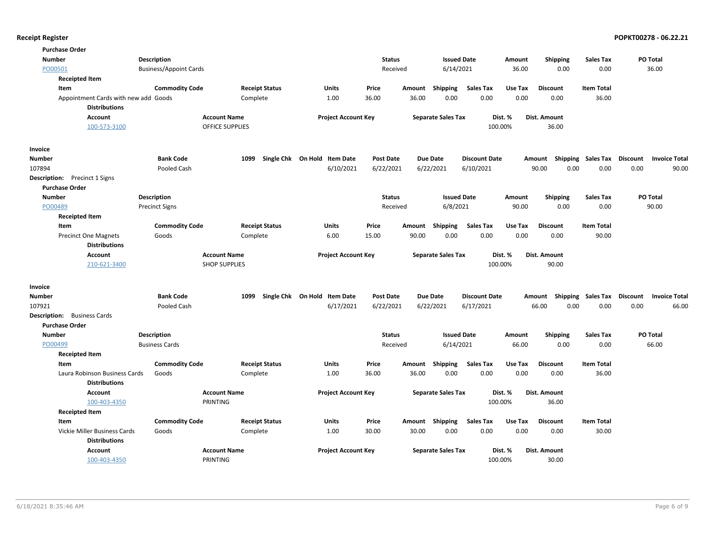| <b>Purchase Order</b>                                 |                               |                       |                              |                  |        |                           |                      |         |                           |                           |                 |                      |
|-------------------------------------------------------|-------------------------------|-----------------------|------------------------------|------------------|--------|---------------------------|----------------------|---------|---------------------------|---------------------------|-----------------|----------------------|
| <b>Number</b>                                         | <b>Description</b>            |                       |                              | <b>Status</b>    |        | <b>Issued Date</b>        |                      | Amount  | <b>Shipping</b>           | <b>Sales Tax</b>          | PO Total        |                      |
| PO00501                                               | <b>Business/Appoint Cards</b> |                       |                              | Received         |        | 6/14/2021                 |                      | 36.00   | 0.00                      | 0.00                      |                 | 36.00                |
| <b>Receipted Item</b>                                 |                               |                       |                              |                  |        |                           |                      |         |                           |                           |                 |                      |
| Item                                                  | <b>Commodity Code</b>         | <b>Receipt Status</b> | Units                        | Price            | Amount | Shipping                  | <b>Sales Tax</b>     | Use Tax | <b>Discount</b>           | <b>Item Total</b>         |                 |                      |
| Appointment Cards with new add Goods                  |                               | Complete              | 1.00                         | 36.00            | 36.00  | 0.00                      | 0.00                 | 0.00    | 0.00                      | 36.00                     |                 |                      |
| <b>Distributions</b>                                  |                               |                       |                              |                  |        |                           |                      |         |                           |                           |                 |                      |
| <b>Account</b>                                        | <b>Account Name</b>           |                       | <b>Project Account Key</b>   |                  |        | <b>Separate Sales Tax</b> |                      | Dist. % | Dist. Amount              |                           |                 |                      |
| 100-573-3100                                          |                               | OFFICE SUPPLIES       |                              |                  |        |                           | 100.00%              |         | 36.00                     |                           |                 |                      |
| Invoice                                               |                               |                       |                              |                  |        |                           |                      |         |                           |                           |                 |                      |
| Number                                                | <b>Bank Code</b>              | 1099                  | Single Chk On Hold Item Date | <b>Post Date</b> |        | Due Date                  | <b>Discount Date</b> |         | Amount Shipping Sales Tax |                           | Discount        | <b>Invoice Total</b> |
| 107894                                                | Pooled Cash                   |                       | 6/10/2021                    | 6/22/2021        |        | 6/22/2021                 | 6/10/2021            |         | 90.00<br>0.00             | 0.00                      | 0.00            | 90.00                |
| <b>Description:</b> Precinct 1 Signs                  |                               |                       |                              |                  |        |                           |                      |         |                           |                           |                 |                      |
| <b>Purchase Order</b>                                 |                               |                       |                              |                  |        |                           |                      |         |                           |                           |                 |                      |
| <b>Number</b>                                         | Description                   |                       |                              | <b>Status</b>    |        | <b>Issued Date</b>        |                      | Amount  | <b>Shipping</b>           | <b>Sales Tax</b>          | PO Total        |                      |
| PO00489                                               | <b>Precinct Signs</b>         |                       |                              | Received         |        | 6/8/2021                  |                      | 90.00   | 0.00                      | 0.00                      |                 | 90.00                |
| <b>Receipted Item</b>                                 |                               |                       |                              |                  |        |                           |                      |         |                           |                           |                 |                      |
| Item                                                  | <b>Commodity Code</b>         | <b>Receipt Status</b> | Units                        | Price            | Amount | Shipping                  | <b>Sales Tax</b>     | Use Tax | <b>Discount</b>           | <b>Item Total</b>         |                 |                      |
| <b>Precinct One Magnets</b>                           | Goods                         | Complete              | 6.00                         | 15.00            | 90.00  | 0.00                      | 0.00                 | 0.00    | 0.00                      | 90.00                     |                 |                      |
| <b>Distributions</b>                                  |                               |                       |                              |                  |        |                           |                      |         |                           |                           |                 |                      |
| Account                                               | <b>Account Name</b>           |                       | <b>Project Account Key</b>   |                  |        | <b>Separate Sales Tax</b> |                      | Dist. % | Dist. Amount              |                           |                 |                      |
| 210-621-3400                                          | <b>SHOP SUPPLIES</b>          |                       |                              |                  |        |                           | 100.00%              |         | 90.00                     |                           |                 |                      |
| Invoice                                               |                               |                       |                              |                  |        |                           |                      |         |                           |                           |                 |                      |
| <b>Number</b>                                         | <b>Bank Code</b>              | 1099                  | Single Chk On Hold Item Date | <b>Post Date</b> |        | Due Date                  | <b>Discount Date</b> |         | Amount                    | <b>Shipping Sales Tax</b> | <b>Discount</b> | <b>Invoice Total</b> |
| 107921                                                | Pooled Cash                   |                       | 6/17/2021                    | 6/22/2021        |        | 6/22/2021                 | 6/17/2021            |         | 0.00<br>66.00             | 0.00                      | 0.00            | 66.00                |
| <b>Description:</b> Business Cards                    |                               |                       |                              |                  |        |                           |                      |         |                           |                           |                 |                      |
| <b>Purchase Order</b>                                 |                               |                       |                              |                  |        |                           |                      |         |                           |                           |                 |                      |
| <b>Number</b>                                         | Description                   |                       |                              | <b>Status</b>    |        | <b>Issued Date</b>        |                      | Amount  | <b>Shipping</b>           | <b>Sales Tax</b>          | PO Total        |                      |
| PO00499                                               | <b>Business Cards</b>         |                       |                              | Received         |        | 6/14/2021                 |                      | 66.00   | 0.00                      | 0.00                      |                 | 66.00                |
| <b>Receipted Item</b>                                 |                               |                       |                              |                  |        |                           |                      |         |                           |                           |                 |                      |
| Item                                                  | <b>Commodity Code</b>         | <b>Receipt Status</b> | Units                        | Price            | Amount | Shipping                  | <b>Sales Tax</b>     | Use Tax | <b>Discount</b>           | <b>Item Total</b>         |                 |                      |
| Laura Robinson Business Cards<br><b>Distributions</b> | Goods                         | Complete              | 1.00                         | 36.00            | 36.00  | 0.00                      | 0.00                 | 0.00    | 0.00                      | 36.00                     |                 |                      |
| <b>Account</b>                                        | <b>Account Name</b>           |                       | <b>Project Account Key</b>   |                  |        | <b>Separate Sales Tax</b> |                      | Dist. % | Dist. Amount              |                           |                 |                      |
| 100-403-4350                                          | PRINTING                      |                       |                              |                  |        |                           |                      |         |                           |                           |                 |                      |
|                                                       |                               |                       |                              |                  |        |                           | 100.00%              |         | 36.00                     |                           |                 |                      |
| <b>Receipted Item</b>                                 |                               |                       |                              |                  |        |                           |                      |         |                           |                           |                 |                      |
| Item                                                  | <b>Commodity Code</b>         | <b>Receipt Status</b> | Units                        | Price            | Amount | Shipping                  | <b>Sales Tax</b>     | Use Tax | <b>Discount</b>           | <b>Item Total</b>         |                 |                      |
| Vickie Miller Business Cards                          | Goods                         | Complete              | 1.00                         | 30.00            | 30.00  | 0.00                      | 0.00                 | 0.00    | 0.00                      | 30.00                     |                 |                      |
| <b>Distributions</b>                                  |                               |                       |                              |                  |        |                           |                      |         |                           |                           |                 |                      |
| <b>Account</b>                                        | <b>Account Name</b>           |                       | <b>Project Account Key</b>   |                  |        | <b>Separate Sales Tax</b> |                      | Dist. % | Dist. Amount              |                           |                 |                      |
| 100-403-4350                                          | PRINTING                      |                       |                              |                  |        |                           | 100.00%              |         | 30.00                     |                           |                 |                      |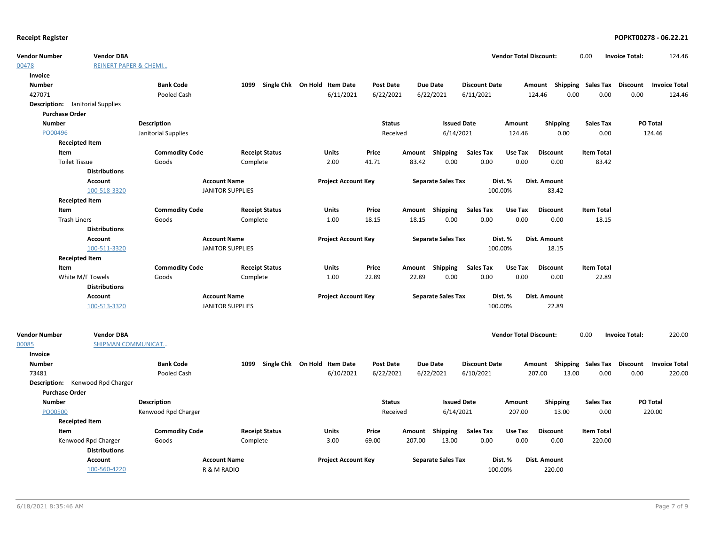00478

00085

| <b>REINERT PAPER &amp; CHEMI</b><br>Invoice<br><b>Number</b><br><b>Bank Code</b><br>Single Chk On Hold Item Date<br><b>Post Date</b><br><b>Due Date</b><br><b>Discount Date</b><br>Amount Shipping Sales Tax Discount<br>1099<br><b>Invoice Total</b><br>427071<br>6/11/2021<br>0.00<br>0.00<br>Pooled Cash<br>6/22/2021<br>6/22/2021<br>6/11/2021<br>124.46<br>0.00<br>124.46<br><b>Description:</b> Janitorial Supplies<br><b>Purchase Order</b><br>PO Total<br><b>Number</b><br><b>Description</b><br><b>Status</b><br><b>Issued Date</b><br>Amount<br><b>Shipping</b><br><b>Sales Tax</b><br>PO00496<br>6/14/2021<br>0.00<br>Janitorial Supplies<br>124.46<br>0.00<br>124.46<br>Received<br><b>Receipted Item</b><br><b>Commodity Code</b><br><b>Receipt Status</b><br>Units<br>Price<br><b>Sales Tax</b><br><b>Discount</b><br><b>Item Total</b><br>Item<br>Amount Shipping<br>Use Tax<br>0.00<br>0.00<br>83.42<br><b>Toilet Tissue</b><br>Goods<br>Complete<br>2.00<br>41.71<br>83.42<br>0.00<br>0.00<br><b>Distributions</b><br>Dist. Amount<br><b>Account</b><br><b>Account Name</b><br><b>Project Account Key</b><br><b>Separate Sales Tax</b><br>Dist. %<br>100-518-3320<br><b>JANITOR SUPPLIES</b><br>100.00%<br>83.42<br><b>Receipted Item</b><br><b>Commodity Code</b><br><b>Receipt Status</b><br>Price<br>Amount Shipping<br><b>Sales Tax</b><br><b>Item Total</b><br>Item<br>Units<br>Use Tax<br><b>Discount</b><br><b>Trash Liners</b><br>18.15<br>18.15<br>0.00<br>0.00<br>0.00<br>0.00<br>18.15<br>Goods<br>Complete<br>1.00<br><b>Distributions</b><br><b>Account Name</b><br><b>Project Account Key</b><br><b>Separate Sales Tax</b><br>Dist. %<br>Dist. Amount<br><b>Account</b><br>100-511-3320<br><b>JANITOR SUPPLIES</b><br>100.00%<br>18.15<br><b>Receipted Item</b><br><b>Commodity Code</b><br>Amount Shipping<br><b>Sales Tax</b><br><b>Item Total</b><br>Item<br><b>Receipt Status</b><br>Units<br>Price<br>Use Tax<br><b>Discount</b><br>0.00<br>White M/F Towels<br>Complete<br>1.00<br>22.89<br>22.89<br>0.00<br>0.00<br>0.00<br>22.89<br>Goods<br><b>Distributions</b><br>Account<br><b>Account Name</b><br><b>Project Account Key</b><br><b>Separate Sales Tax</b><br>Dist. %<br>Dist. Amount<br>100-513-3320<br><b>JANITOR SUPPLIES</b><br>100.00%<br>22.89<br>220.00<br><b>Vendor DBA</b><br><b>Vendor Total Discount:</b><br>0.00<br><b>Invoice Total:</b><br>Vendor Number<br>SHIPMAN COMMUNICAT<br>00085<br>Invoice<br>Single Chk On Hold Item Date<br><b>Number</b><br><b>Bank Code</b><br>1099<br><b>Post Date</b><br><b>Due Date</b><br><b>Discount Date</b><br>Amount Shipping Sales Tax Discount<br><b>Invoice Total</b><br>220.00<br>73481<br>Pooled Cash<br>6/10/2021<br>6/22/2021<br>6/22/2021<br>6/10/2021<br>207.00<br>13.00<br>0.00<br>0.00<br>Description: Kenwood Rpd Charger<br><b>Purchase Order</b><br><b>Number</b><br><b>Description</b><br><b>Issued Date</b><br><b>Sales Tax</b><br>PO Total<br><b>Status</b><br><b>Shipping</b><br>Amount<br>PO00500<br>Kenwood Rpd Charger<br>Received<br>6/14/2021<br>207.00<br>13.00<br>0.00<br>220.00<br><b>Receipted Item</b><br><b>Commodity Code</b><br><b>Receipt Status</b><br>Units<br>Price<br>Shipping<br>Sales Tax<br>Use Tax<br><b>Discount</b><br><b>Item Total</b><br>Item<br>Amount<br>13.00<br>0.00<br>0.00<br>220.00<br>Kenwood Rpd Charger<br>Goods<br>Complete<br>3.00<br>69.00<br>207.00<br>0.00<br><b>Distributions</b><br>Dist. Amount<br><b>Account</b><br><b>Account Name</b><br><b>Project Account Key</b><br><b>Separate Sales Tax</b><br>Dist. %<br>100-560-4220<br>R & M RADIO<br>100.00%<br>220.00 | Vendor Number | <b>Vendor DBA</b> |  |  |  | <b>Vendor Total Discount:</b> | 0.00 | <b>Invoice Total:</b> | 124.46 |
|--------------------------------------------------------------------------------------------------------------------------------------------------------------------------------------------------------------------------------------------------------------------------------------------------------------------------------------------------------------------------------------------------------------------------------------------------------------------------------------------------------------------------------------------------------------------------------------------------------------------------------------------------------------------------------------------------------------------------------------------------------------------------------------------------------------------------------------------------------------------------------------------------------------------------------------------------------------------------------------------------------------------------------------------------------------------------------------------------------------------------------------------------------------------------------------------------------------------------------------------------------------------------------------------------------------------------------------------------------------------------------------------------------------------------------------------------------------------------------------------------------------------------------------------------------------------------------------------------------------------------------------------------------------------------------------------------------------------------------------------------------------------------------------------------------------------------------------------------------------------------------------------------------------------------------------------------------------------------------------------------------------------------------------------------------------------------------------------------------------------------------------------------------------------------------------------------------------------------------------------------------------------------------------------------------------------------------------------------------------------------------------------------------------------------------------------------------------------------------------------------------------------------------------------------------------------------------------------------------------------------------------------------------------------------------------------------------------------------------------------------------------------------------------------------------------------------------------------------------------------------------------------------------------------------------------------------------------------------------------------------------------------------------------------------------------------------------------------------------------------------------------------------------------------------------------------------------------------------------------------------------------------------------------------------------------------------------------------------------------------------------------------------------------------------------------------------------------------------------------------------------------------------------------------------------------------------------------------------------------------------------|---------------|-------------------|--|--|--|-------------------------------|------|-----------------------|--------|
|                                                                                                                                                                                                                                                                                                                                                                                                                                                                                                                                                                                                                                                                                                                                                                                                                                                                                                                                                                                                                                                                                                                                                                                                                                                                                                                                                                                                                                                                                                                                                                                                                                                                                                                                                                                                                                                                                                                                                                                                                                                                                                                                                                                                                                                                                                                                                                                                                                                                                                                                                                                                                                                                                                                                                                                                                                                                                                                                                                                                                                                                                                                                                                                                                                                                                                                                                                                                                                                                                                                                                                                                                                | 00478         |                   |  |  |  |                               |      |                       |        |
|                                                                                                                                                                                                                                                                                                                                                                                                                                                                                                                                                                                                                                                                                                                                                                                                                                                                                                                                                                                                                                                                                                                                                                                                                                                                                                                                                                                                                                                                                                                                                                                                                                                                                                                                                                                                                                                                                                                                                                                                                                                                                                                                                                                                                                                                                                                                                                                                                                                                                                                                                                                                                                                                                                                                                                                                                                                                                                                                                                                                                                                                                                                                                                                                                                                                                                                                                                                                                                                                                                                                                                                                                                |               |                   |  |  |  |                               |      |                       |        |
|                                                                                                                                                                                                                                                                                                                                                                                                                                                                                                                                                                                                                                                                                                                                                                                                                                                                                                                                                                                                                                                                                                                                                                                                                                                                                                                                                                                                                                                                                                                                                                                                                                                                                                                                                                                                                                                                                                                                                                                                                                                                                                                                                                                                                                                                                                                                                                                                                                                                                                                                                                                                                                                                                                                                                                                                                                                                                                                                                                                                                                                                                                                                                                                                                                                                                                                                                                                                                                                                                                                                                                                                                                |               |                   |  |  |  |                               |      |                       |        |
|                                                                                                                                                                                                                                                                                                                                                                                                                                                                                                                                                                                                                                                                                                                                                                                                                                                                                                                                                                                                                                                                                                                                                                                                                                                                                                                                                                                                                                                                                                                                                                                                                                                                                                                                                                                                                                                                                                                                                                                                                                                                                                                                                                                                                                                                                                                                                                                                                                                                                                                                                                                                                                                                                                                                                                                                                                                                                                                                                                                                                                                                                                                                                                                                                                                                                                                                                                                                                                                                                                                                                                                                                                |               |                   |  |  |  |                               |      |                       |        |
|                                                                                                                                                                                                                                                                                                                                                                                                                                                                                                                                                                                                                                                                                                                                                                                                                                                                                                                                                                                                                                                                                                                                                                                                                                                                                                                                                                                                                                                                                                                                                                                                                                                                                                                                                                                                                                                                                                                                                                                                                                                                                                                                                                                                                                                                                                                                                                                                                                                                                                                                                                                                                                                                                                                                                                                                                                                                                                                                                                                                                                                                                                                                                                                                                                                                                                                                                                                                                                                                                                                                                                                                                                |               |                   |  |  |  |                               |      |                       |        |
|                                                                                                                                                                                                                                                                                                                                                                                                                                                                                                                                                                                                                                                                                                                                                                                                                                                                                                                                                                                                                                                                                                                                                                                                                                                                                                                                                                                                                                                                                                                                                                                                                                                                                                                                                                                                                                                                                                                                                                                                                                                                                                                                                                                                                                                                                                                                                                                                                                                                                                                                                                                                                                                                                                                                                                                                                                                                                                                                                                                                                                                                                                                                                                                                                                                                                                                                                                                                                                                                                                                                                                                                                                |               |                   |  |  |  |                               |      |                       |        |
|                                                                                                                                                                                                                                                                                                                                                                                                                                                                                                                                                                                                                                                                                                                                                                                                                                                                                                                                                                                                                                                                                                                                                                                                                                                                                                                                                                                                                                                                                                                                                                                                                                                                                                                                                                                                                                                                                                                                                                                                                                                                                                                                                                                                                                                                                                                                                                                                                                                                                                                                                                                                                                                                                                                                                                                                                                                                                                                                                                                                                                                                                                                                                                                                                                                                                                                                                                                                                                                                                                                                                                                                                                |               |                   |  |  |  |                               |      |                       |        |
|                                                                                                                                                                                                                                                                                                                                                                                                                                                                                                                                                                                                                                                                                                                                                                                                                                                                                                                                                                                                                                                                                                                                                                                                                                                                                                                                                                                                                                                                                                                                                                                                                                                                                                                                                                                                                                                                                                                                                                                                                                                                                                                                                                                                                                                                                                                                                                                                                                                                                                                                                                                                                                                                                                                                                                                                                                                                                                                                                                                                                                                                                                                                                                                                                                                                                                                                                                                                                                                                                                                                                                                                                                |               |                   |  |  |  |                               |      |                       |        |
|                                                                                                                                                                                                                                                                                                                                                                                                                                                                                                                                                                                                                                                                                                                                                                                                                                                                                                                                                                                                                                                                                                                                                                                                                                                                                                                                                                                                                                                                                                                                                                                                                                                                                                                                                                                                                                                                                                                                                                                                                                                                                                                                                                                                                                                                                                                                                                                                                                                                                                                                                                                                                                                                                                                                                                                                                                                                                                                                                                                                                                                                                                                                                                                                                                                                                                                                                                                                                                                                                                                                                                                                                                |               |                   |  |  |  |                               |      |                       |        |
|                                                                                                                                                                                                                                                                                                                                                                                                                                                                                                                                                                                                                                                                                                                                                                                                                                                                                                                                                                                                                                                                                                                                                                                                                                                                                                                                                                                                                                                                                                                                                                                                                                                                                                                                                                                                                                                                                                                                                                                                                                                                                                                                                                                                                                                                                                                                                                                                                                                                                                                                                                                                                                                                                                                                                                                                                                                                                                                                                                                                                                                                                                                                                                                                                                                                                                                                                                                                                                                                                                                                                                                                                                |               |                   |  |  |  |                               |      |                       |        |
|                                                                                                                                                                                                                                                                                                                                                                                                                                                                                                                                                                                                                                                                                                                                                                                                                                                                                                                                                                                                                                                                                                                                                                                                                                                                                                                                                                                                                                                                                                                                                                                                                                                                                                                                                                                                                                                                                                                                                                                                                                                                                                                                                                                                                                                                                                                                                                                                                                                                                                                                                                                                                                                                                                                                                                                                                                                                                                                                                                                                                                                                                                                                                                                                                                                                                                                                                                                                                                                                                                                                                                                                                                |               |                   |  |  |  |                               |      |                       |        |
|                                                                                                                                                                                                                                                                                                                                                                                                                                                                                                                                                                                                                                                                                                                                                                                                                                                                                                                                                                                                                                                                                                                                                                                                                                                                                                                                                                                                                                                                                                                                                                                                                                                                                                                                                                                                                                                                                                                                                                                                                                                                                                                                                                                                                                                                                                                                                                                                                                                                                                                                                                                                                                                                                                                                                                                                                                                                                                                                                                                                                                                                                                                                                                                                                                                                                                                                                                                                                                                                                                                                                                                                                                |               |                   |  |  |  |                               |      |                       |        |
|                                                                                                                                                                                                                                                                                                                                                                                                                                                                                                                                                                                                                                                                                                                                                                                                                                                                                                                                                                                                                                                                                                                                                                                                                                                                                                                                                                                                                                                                                                                                                                                                                                                                                                                                                                                                                                                                                                                                                                                                                                                                                                                                                                                                                                                                                                                                                                                                                                                                                                                                                                                                                                                                                                                                                                                                                                                                                                                                                                                                                                                                                                                                                                                                                                                                                                                                                                                                                                                                                                                                                                                                                                |               |                   |  |  |  |                               |      |                       |        |
|                                                                                                                                                                                                                                                                                                                                                                                                                                                                                                                                                                                                                                                                                                                                                                                                                                                                                                                                                                                                                                                                                                                                                                                                                                                                                                                                                                                                                                                                                                                                                                                                                                                                                                                                                                                                                                                                                                                                                                                                                                                                                                                                                                                                                                                                                                                                                                                                                                                                                                                                                                                                                                                                                                                                                                                                                                                                                                                                                                                                                                                                                                                                                                                                                                                                                                                                                                                                                                                                                                                                                                                                                                |               |                   |  |  |  |                               |      |                       |        |
|                                                                                                                                                                                                                                                                                                                                                                                                                                                                                                                                                                                                                                                                                                                                                                                                                                                                                                                                                                                                                                                                                                                                                                                                                                                                                                                                                                                                                                                                                                                                                                                                                                                                                                                                                                                                                                                                                                                                                                                                                                                                                                                                                                                                                                                                                                                                                                                                                                                                                                                                                                                                                                                                                                                                                                                                                                                                                                                                                                                                                                                                                                                                                                                                                                                                                                                                                                                                                                                                                                                                                                                                                                |               |                   |  |  |  |                               |      |                       |        |
|                                                                                                                                                                                                                                                                                                                                                                                                                                                                                                                                                                                                                                                                                                                                                                                                                                                                                                                                                                                                                                                                                                                                                                                                                                                                                                                                                                                                                                                                                                                                                                                                                                                                                                                                                                                                                                                                                                                                                                                                                                                                                                                                                                                                                                                                                                                                                                                                                                                                                                                                                                                                                                                                                                                                                                                                                                                                                                                                                                                                                                                                                                                                                                                                                                                                                                                                                                                                                                                                                                                                                                                                                                |               |                   |  |  |  |                               |      |                       |        |
|                                                                                                                                                                                                                                                                                                                                                                                                                                                                                                                                                                                                                                                                                                                                                                                                                                                                                                                                                                                                                                                                                                                                                                                                                                                                                                                                                                                                                                                                                                                                                                                                                                                                                                                                                                                                                                                                                                                                                                                                                                                                                                                                                                                                                                                                                                                                                                                                                                                                                                                                                                                                                                                                                                                                                                                                                                                                                                                                                                                                                                                                                                                                                                                                                                                                                                                                                                                                                                                                                                                                                                                                                                |               |                   |  |  |  |                               |      |                       |        |
|                                                                                                                                                                                                                                                                                                                                                                                                                                                                                                                                                                                                                                                                                                                                                                                                                                                                                                                                                                                                                                                                                                                                                                                                                                                                                                                                                                                                                                                                                                                                                                                                                                                                                                                                                                                                                                                                                                                                                                                                                                                                                                                                                                                                                                                                                                                                                                                                                                                                                                                                                                                                                                                                                                                                                                                                                                                                                                                                                                                                                                                                                                                                                                                                                                                                                                                                                                                                                                                                                                                                                                                                                                |               |                   |  |  |  |                               |      |                       |        |
|                                                                                                                                                                                                                                                                                                                                                                                                                                                                                                                                                                                                                                                                                                                                                                                                                                                                                                                                                                                                                                                                                                                                                                                                                                                                                                                                                                                                                                                                                                                                                                                                                                                                                                                                                                                                                                                                                                                                                                                                                                                                                                                                                                                                                                                                                                                                                                                                                                                                                                                                                                                                                                                                                                                                                                                                                                                                                                                                                                                                                                                                                                                                                                                                                                                                                                                                                                                                                                                                                                                                                                                                                                |               |                   |  |  |  |                               |      |                       |        |
|                                                                                                                                                                                                                                                                                                                                                                                                                                                                                                                                                                                                                                                                                                                                                                                                                                                                                                                                                                                                                                                                                                                                                                                                                                                                                                                                                                                                                                                                                                                                                                                                                                                                                                                                                                                                                                                                                                                                                                                                                                                                                                                                                                                                                                                                                                                                                                                                                                                                                                                                                                                                                                                                                                                                                                                                                                                                                                                                                                                                                                                                                                                                                                                                                                                                                                                                                                                                                                                                                                                                                                                                                                |               |                   |  |  |  |                               |      |                       |        |
|                                                                                                                                                                                                                                                                                                                                                                                                                                                                                                                                                                                                                                                                                                                                                                                                                                                                                                                                                                                                                                                                                                                                                                                                                                                                                                                                                                                                                                                                                                                                                                                                                                                                                                                                                                                                                                                                                                                                                                                                                                                                                                                                                                                                                                                                                                                                                                                                                                                                                                                                                                                                                                                                                                                                                                                                                                                                                                                                                                                                                                                                                                                                                                                                                                                                                                                                                                                                                                                                                                                                                                                                                                |               |                   |  |  |  |                               |      |                       |        |
|                                                                                                                                                                                                                                                                                                                                                                                                                                                                                                                                                                                                                                                                                                                                                                                                                                                                                                                                                                                                                                                                                                                                                                                                                                                                                                                                                                                                                                                                                                                                                                                                                                                                                                                                                                                                                                                                                                                                                                                                                                                                                                                                                                                                                                                                                                                                                                                                                                                                                                                                                                                                                                                                                                                                                                                                                                                                                                                                                                                                                                                                                                                                                                                                                                                                                                                                                                                                                                                                                                                                                                                                                                |               |                   |  |  |  |                               |      |                       |        |
|                                                                                                                                                                                                                                                                                                                                                                                                                                                                                                                                                                                                                                                                                                                                                                                                                                                                                                                                                                                                                                                                                                                                                                                                                                                                                                                                                                                                                                                                                                                                                                                                                                                                                                                                                                                                                                                                                                                                                                                                                                                                                                                                                                                                                                                                                                                                                                                                                                                                                                                                                                                                                                                                                                                                                                                                                                                                                                                                                                                                                                                                                                                                                                                                                                                                                                                                                                                                                                                                                                                                                                                                                                |               |                   |  |  |  |                               |      |                       |        |
|                                                                                                                                                                                                                                                                                                                                                                                                                                                                                                                                                                                                                                                                                                                                                                                                                                                                                                                                                                                                                                                                                                                                                                                                                                                                                                                                                                                                                                                                                                                                                                                                                                                                                                                                                                                                                                                                                                                                                                                                                                                                                                                                                                                                                                                                                                                                                                                                                                                                                                                                                                                                                                                                                                                                                                                                                                                                                                                                                                                                                                                                                                                                                                                                                                                                                                                                                                                                                                                                                                                                                                                                                                |               |                   |  |  |  |                               |      |                       |        |
|                                                                                                                                                                                                                                                                                                                                                                                                                                                                                                                                                                                                                                                                                                                                                                                                                                                                                                                                                                                                                                                                                                                                                                                                                                                                                                                                                                                                                                                                                                                                                                                                                                                                                                                                                                                                                                                                                                                                                                                                                                                                                                                                                                                                                                                                                                                                                                                                                                                                                                                                                                                                                                                                                                                                                                                                                                                                                                                                                                                                                                                                                                                                                                                                                                                                                                                                                                                                                                                                                                                                                                                                                                |               |                   |  |  |  |                               |      |                       |        |
|                                                                                                                                                                                                                                                                                                                                                                                                                                                                                                                                                                                                                                                                                                                                                                                                                                                                                                                                                                                                                                                                                                                                                                                                                                                                                                                                                                                                                                                                                                                                                                                                                                                                                                                                                                                                                                                                                                                                                                                                                                                                                                                                                                                                                                                                                                                                                                                                                                                                                                                                                                                                                                                                                                                                                                                                                                                                                                                                                                                                                                                                                                                                                                                                                                                                                                                                                                                                                                                                                                                                                                                                                                |               |                   |  |  |  |                               |      |                       |        |
|                                                                                                                                                                                                                                                                                                                                                                                                                                                                                                                                                                                                                                                                                                                                                                                                                                                                                                                                                                                                                                                                                                                                                                                                                                                                                                                                                                                                                                                                                                                                                                                                                                                                                                                                                                                                                                                                                                                                                                                                                                                                                                                                                                                                                                                                                                                                                                                                                                                                                                                                                                                                                                                                                                                                                                                                                                                                                                                                                                                                                                                                                                                                                                                                                                                                                                                                                                                                                                                                                                                                                                                                                                |               |                   |  |  |  |                               |      |                       |        |
|                                                                                                                                                                                                                                                                                                                                                                                                                                                                                                                                                                                                                                                                                                                                                                                                                                                                                                                                                                                                                                                                                                                                                                                                                                                                                                                                                                                                                                                                                                                                                                                                                                                                                                                                                                                                                                                                                                                                                                                                                                                                                                                                                                                                                                                                                                                                                                                                                                                                                                                                                                                                                                                                                                                                                                                                                                                                                                                                                                                                                                                                                                                                                                                                                                                                                                                                                                                                                                                                                                                                                                                                                                |               |                   |  |  |  |                               |      |                       |        |
|                                                                                                                                                                                                                                                                                                                                                                                                                                                                                                                                                                                                                                                                                                                                                                                                                                                                                                                                                                                                                                                                                                                                                                                                                                                                                                                                                                                                                                                                                                                                                                                                                                                                                                                                                                                                                                                                                                                                                                                                                                                                                                                                                                                                                                                                                                                                                                                                                                                                                                                                                                                                                                                                                                                                                                                                                                                                                                                                                                                                                                                                                                                                                                                                                                                                                                                                                                                                                                                                                                                                                                                                                                |               |                   |  |  |  |                               |      |                       |        |
|                                                                                                                                                                                                                                                                                                                                                                                                                                                                                                                                                                                                                                                                                                                                                                                                                                                                                                                                                                                                                                                                                                                                                                                                                                                                                                                                                                                                                                                                                                                                                                                                                                                                                                                                                                                                                                                                                                                                                                                                                                                                                                                                                                                                                                                                                                                                                                                                                                                                                                                                                                                                                                                                                                                                                                                                                                                                                                                                                                                                                                                                                                                                                                                                                                                                                                                                                                                                                                                                                                                                                                                                                                |               |                   |  |  |  |                               |      |                       |        |
|                                                                                                                                                                                                                                                                                                                                                                                                                                                                                                                                                                                                                                                                                                                                                                                                                                                                                                                                                                                                                                                                                                                                                                                                                                                                                                                                                                                                                                                                                                                                                                                                                                                                                                                                                                                                                                                                                                                                                                                                                                                                                                                                                                                                                                                                                                                                                                                                                                                                                                                                                                                                                                                                                                                                                                                                                                                                                                                                                                                                                                                                                                                                                                                                                                                                                                                                                                                                                                                                                                                                                                                                                                |               |                   |  |  |  |                               |      |                       |        |
|                                                                                                                                                                                                                                                                                                                                                                                                                                                                                                                                                                                                                                                                                                                                                                                                                                                                                                                                                                                                                                                                                                                                                                                                                                                                                                                                                                                                                                                                                                                                                                                                                                                                                                                                                                                                                                                                                                                                                                                                                                                                                                                                                                                                                                                                                                                                                                                                                                                                                                                                                                                                                                                                                                                                                                                                                                                                                                                                                                                                                                                                                                                                                                                                                                                                                                                                                                                                                                                                                                                                                                                                                                |               |                   |  |  |  |                               |      |                       |        |
|                                                                                                                                                                                                                                                                                                                                                                                                                                                                                                                                                                                                                                                                                                                                                                                                                                                                                                                                                                                                                                                                                                                                                                                                                                                                                                                                                                                                                                                                                                                                                                                                                                                                                                                                                                                                                                                                                                                                                                                                                                                                                                                                                                                                                                                                                                                                                                                                                                                                                                                                                                                                                                                                                                                                                                                                                                                                                                                                                                                                                                                                                                                                                                                                                                                                                                                                                                                                                                                                                                                                                                                                                                |               |                   |  |  |  |                               |      |                       |        |
|                                                                                                                                                                                                                                                                                                                                                                                                                                                                                                                                                                                                                                                                                                                                                                                                                                                                                                                                                                                                                                                                                                                                                                                                                                                                                                                                                                                                                                                                                                                                                                                                                                                                                                                                                                                                                                                                                                                                                                                                                                                                                                                                                                                                                                                                                                                                                                                                                                                                                                                                                                                                                                                                                                                                                                                                                                                                                                                                                                                                                                                                                                                                                                                                                                                                                                                                                                                                                                                                                                                                                                                                                                |               |                   |  |  |  |                               |      |                       |        |
|                                                                                                                                                                                                                                                                                                                                                                                                                                                                                                                                                                                                                                                                                                                                                                                                                                                                                                                                                                                                                                                                                                                                                                                                                                                                                                                                                                                                                                                                                                                                                                                                                                                                                                                                                                                                                                                                                                                                                                                                                                                                                                                                                                                                                                                                                                                                                                                                                                                                                                                                                                                                                                                                                                                                                                                                                                                                                                                                                                                                                                                                                                                                                                                                                                                                                                                                                                                                                                                                                                                                                                                                                                |               |                   |  |  |  |                               |      |                       |        |
|                                                                                                                                                                                                                                                                                                                                                                                                                                                                                                                                                                                                                                                                                                                                                                                                                                                                                                                                                                                                                                                                                                                                                                                                                                                                                                                                                                                                                                                                                                                                                                                                                                                                                                                                                                                                                                                                                                                                                                                                                                                                                                                                                                                                                                                                                                                                                                                                                                                                                                                                                                                                                                                                                                                                                                                                                                                                                                                                                                                                                                                                                                                                                                                                                                                                                                                                                                                                                                                                                                                                                                                                                                |               |                   |  |  |  |                               |      |                       |        |
|                                                                                                                                                                                                                                                                                                                                                                                                                                                                                                                                                                                                                                                                                                                                                                                                                                                                                                                                                                                                                                                                                                                                                                                                                                                                                                                                                                                                                                                                                                                                                                                                                                                                                                                                                                                                                                                                                                                                                                                                                                                                                                                                                                                                                                                                                                                                                                                                                                                                                                                                                                                                                                                                                                                                                                                                                                                                                                                                                                                                                                                                                                                                                                                                                                                                                                                                                                                                                                                                                                                                                                                                                                |               |                   |  |  |  |                               |      |                       |        |
|                                                                                                                                                                                                                                                                                                                                                                                                                                                                                                                                                                                                                                                                                                                                                                                                                                                                                                                                                                                                                                                                                                                                                                                                                                                                                                                                                                                                                                                                                                                                                                                                                                                                                                                                                                                                                                                                                                                                                                                                                                                                                                                                                                                                                                                                                                                                                                                                                                                                                                                                                                                                                                                                                                                                                                                                                                                                                                                                                                                                                                                                                                                                                                                                                                                                                                                                                                                                                                                                                                                                                                                                                                |               |                   |  |  |  |                               |      |                       |        |
|                                                                                                                                                                                                                                                                                                                                                                                                                                                                                                                                                                                                                                                                                                                                                                                                                                                                                                                                                                                                                                                                                                                                                                                                                                                                                                                                                                                                                                                                                                                                                                                                                                                                                                                                                                                                                                                                                                                                                                                                                                                                                                                                                                                                                                                                                                                                                                                                                                                                                                                                                                                                                                                                                                                                                                                                                                                                                                                                                                                                                                                                                                                                                                                                                                                                                                                                                                                                                                                                                                                                                                                                                                |               |                   |  |  |  |                               |      |                       |        |
|                                                                                                                                                                                                                                                                                                                                                                                                                                                                                                                                                                                                                                                                                                                                                                                                                                                                                                                                                                                                                                                                                                                                                                                                                                                                                                                                                                                                                                                                                                                                                                                                                                                                                                                                                                                                                                                                                                                                                                                                                                                                                                                                                                                                                                                                                                                                                                                                                                                                                                                                                                                                                                                                                                                                                                                                                                                                                                                                                                                                                                                                                                                                                                                                                                                                                                                                                                                                                                                                                                                                                                                                                                |               |                   |  |  |  |                               |      |                       |        |
|                                                                                                                                                                                                                                                                                                                                                                                                                                                                                                                                                                                                                                                                                                                                                                                                                                                                                                                                                                                                                                                                                                                                                                                                                                                                                                                                                                                                                                                                                                                                                                                                                                                                                                                                                                                                                                                                                                                                                                                                                                                                                                                                                                                                                                                                                                                                                                                                                                                                                                                                                                                                                                                                                                                                                                                                                                                                                                                                                                                                                                                                                                                                                                                                                                                                                                                                                                                                                                                                                                                                                                                                                                |               |                   |  |  |  |                               |      |                       |        |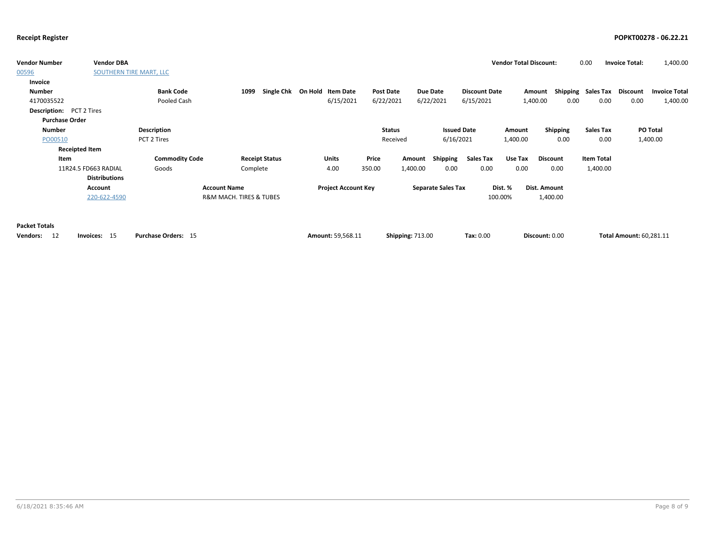| <b>Vendor Number</b>            | <b>Vendor DBA</b>       |                            |                                        |                            |               |                           |                      | <b>Vendor Total Discount:</b> |                 | 0.00               | <b>Invoice Total:</b>          | 1,400.00             |
|---------------------------------|-------------------------|----------------------------|----------------------------------------|----------------------------|---------------|---------------------------|----------------------|-------------------------------|-----------------|--------------------|--------------------------------|----------------------|
| 00596                           | SOUTHERN TIRE MART, LLC |                            |                                        |                            |               |                           |                      |                               |                 |                    |                                |                      |
| Invoice                         |                         |                            |                                        |                            |               |                           |                      |                               |                 |                    |                                |                      |
| <b>Number</b>                   |                         | <b>Bank Code</b>           | <b>Single Chk</b><br>1099              | On Hold Item Date          | Post Date     | Due Date                  | <b>Discount Date</b> | Amount                        |                 | Shipping Sales Tax | Discount                       | <b>Invoice Total</b> |
| 4170035522                      |                         | Pooled Cash                |                                        | 6/15/2021                  | 6/22/2021     | 6/22/2021                 | 6/15/2021            | 1,400.00                      | 0.00            | 0.00               | 0.00                           | 1,400.00             |
| <b>Description:</b> PCT 2 Tires |                         |                            |                                        |                            |               |                           |                      |                               |                 |                    |                                |                      |
| <b>Purchase Order</b>           |                         |                            |                                        |                            |               |                           |                      |                               |                 |                    |                                |                      |
| <b>Number</b>                   |                         | Description                |                                        |                            | <b>Status</b> |                           | <b>Issued Date</b>   | Amount                        | Shipping        | <b>Sales Tax</b>   |                                | PO Total             |
| PO00510                         |                         | PCT 2 Tires                |                                        |                            | Received      |                           | 6/16/2021            | 1,400.00                      | 0.00            | 0.00               |                                | 1,400.00             |
| <b>Receipted Item</b>           |                         |                            |                                        |                            |               |                           |                      |                               |                 |                    |                                |                      |
| Item                            |                         | <b>Commodity Code</b>      | <b>Receipt Status</b>                  | Units                      | Price         | Shipping<br>Amount        | <b>Sales Tax</b>     | Use Tax                       | <b>Discount</b> | <b>Item Total</b>  |                                |                      |
|                                 | 11R24.5 FD663 RADIAL    | Goods                      | Complete                               | 4.00                       | 350.00        | 1,400.00<br>0.00          | 0.00                 | 0.00                          | 0.00            | 1,400.00           |                                |                      |
|                                 | <b>Distributions</b>    |                            |                                        |                            |               |                           |                      |                               |                 |                    |                                |                      |
|                                 | Account                 |                            | <b>Account Name</b>                    | <b>Project Account Key</b> |               | <b>Separate Sales Tax</b> |                      | Dist. %                       | Dist. Amount    |                    |                                |                      |
|                                 | 220-622-4590            |                            | <b>R&amp;M MACH. TIRES &amp; TUBES</b> |                            |               |                           |                      | 100.00%                       | 1,400.00        |                    |                                |                      |
|                                 |                         |                            |                                        |                            |               |                           |                      |                               |                 |                    |                                |                      |
|                                 |                         |                            |                                        |                            |               |                           |                      |                               |                 |                    |                                |                      |
| <b>Packet Totals</b>            |                         |                            |                                        |                            |               |                           |                      |                               |                 |                    |                                |                      |
| -12<br>Vendors:                 | Invoices: 15            | <b>Purchase Orders: 15</b> |                                        | Amount: 59,568.11          |               | <b>Shipping: 713.00</b>   | Tax: 0.00            |                               | Discount: 0.00  |                    | <b>Total Amount: 60,281.11</b> |                      |